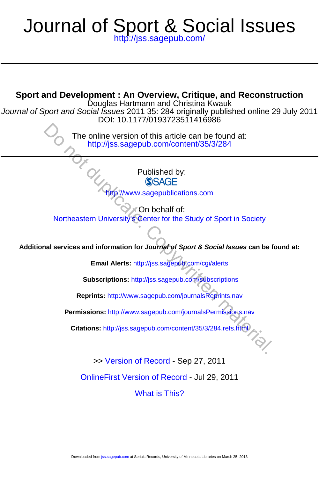# <http://jss.sagepub.com/> Journal of Sport & Social Issues

http://jss.sagepub.com/content/35/3/284 The online version of this article can be found at: DOI: 10.1177/0193723511416986 Journal of Sport and Social Issues 2011 35: 284 originally published online 29 July 2011 Douglas Hartmann and Christina Kwauk **Sport and Development : An Overview, Critique, and Reconstruction** Published by:<br>
SAGE http://www.sagepublications.com On behalf of: Northeastern University's Center for the Study of Sport in Society **Additional services and information for Journal of Sport & Social Issues can be found at: Email Alerts:** http://jss.sagepub.com/cgi/alerts **Subscriptions:** http://jss.sagepub.com/subscriptions **Reprints:** http://www.sagepub.com/journalsReprints.nav **Permissions:** http://www.sagepub.com/journalsPermissions.nav **Citations:** http://jss.sagepub.com/content/35/3/284.refs.html [What is This?](http://online.sagepub.com/site/sphelp/vorhelp.xhtml) [OnlineFirst Version of Record](http://jss.sagepub.com/content/early/2011/07/28/0193723511416986.full.pdf) - Jul 29, 2011 >> [Version of Record -](http://jss.sagepub.com/content/35/3/284.full.pdf) Sep 27, 2011 The online version of this article can be found at:<br>
http://jss.sagepub.com/cont[en](http://www.sagepub.com/journalsReprints.nav)t/35/3/284<br>
Published by:<br>
BSAGE<br>
Auther Study of Sport in Society<br>
Northeas[ter](http://jss.sagepub.com/content/35/3/284.refs.html)n University Center for the Study of Sport in Society<br>
Nation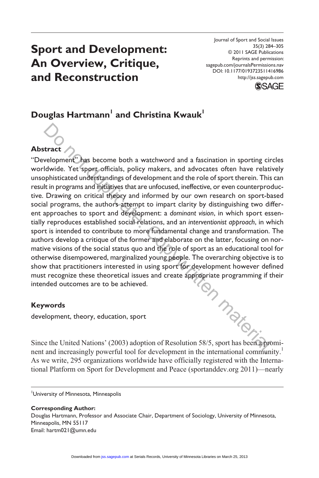# **Sport and Development: An Overview, Critique, and Reconstruction**

Journal of Sport and Social Issues 35(3) 284–305 © 2011 SAGE Publications Reprints and permission: sagepub.com/journalsPermissions.nav DOI: 10.1177/0193723511416986 http://jss.sagepub.com



## $\bm{\mathsf{Douglas\text{ }Hartmann}^{\text{!}}}$  and Christina Kwauk<sup>l</sup>

#### **Abstract**

"Development" has become both a watchword and a fascination in sporting circles worldwide. Yet sport officials, policy makers, and advocates often have relatively unsophisticated understandings of development and the role of sport therein. This can result in programs and initiatives that are unfocused, ineffective, or even counterproductive. Drawing on critical theory and informed by our own research on sport-based social programs, the authors attempt to impart clarity by distinguishing two different approaches to sport and development: a *dominant vision*, in which sport essentially reproduces established social relations, and an *interventionist approach*, in which sport is intended to contribute to more fundamental change and transformation. The authors develop a critique of the former and elaborate on the latter, focusing on normative visions of the social status quo and the role of sport as an educational tool for otherwise disempowered, marginalized young people. The overarching objective is to show that practitioners interested in using sport for development however defined must recognize these theoretical issues and create appropriate programming if their<br>intended outcomes are to be achieved. intended outcomes are to be achieved. **Example 10**<br> **Example 10**<br> **Example 10**<br> **Example 10**<br> **Example 10**<br> **Example 10**<br> **Example 10**<br> **Example 10**<br> **Example 10**<br> **Example 10**<br> **Example 10**<br> **Example 10**<br> **Example 10**<br> **Example 10**<br> **Example 10**<br> **Example 10** 

#### **Keywords**

development, theory, education, sport

Since the United Nations' (2003) adoption of Resolution 58/5, sport has been a prominent and increasingly powerful tool for development in the international community.<sup>1</sup> As we write, 295 organizations worldwide have officially registered with the International Platform on Sport for Development and Peace (sportanddev.org 2011)—nearly

University of Minnesota, Minneapolis

**Corresponding Author:** Douglas Hartmann, Professor and Associate Chair, Department of Sociology, University of Minnesota, Minneapolis, MN 55117 Email: hartm021@umn.edu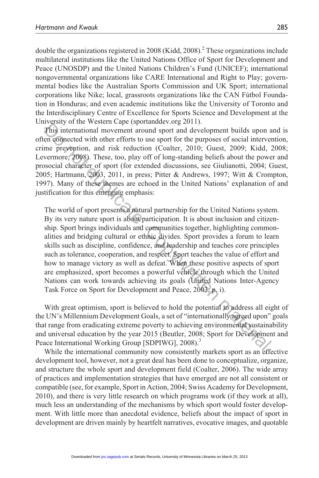double the organizations registered in 2008 (Kidd, 2008).<sup>2</sup> These organizations include multilateral institutions like the United Nations Office of Sport for Development and Peace (UNOSDP) and the United Nations Children's Fund (UNICEF); international nongovernmental organizations like CARE International and Right to Play; governmental bodies like the Australian Sports Commission and UK Sport; international corporations like Nike; local, grassroots organizations like the CAN Fútbol Foundation in Honduras; and even academic institutions like the University of Toronto and the Interdisciplinary Centre of Excellence for Sports Science and Development at the University of the Western Cape (sportanddev.org 2011).

This international movement around sport and development builds upon and is often connected with other efforts to use sport for the purposes of social intervention, crime prevention, and risk reduction (Coalter, 2010; Guest, 2009; Kidd, 2008; Levermore, 2008). These, too, play off of long-standing beliefs about the power and prosocial character of sport (for extended discussions, see Giulianotti, 2004; Guest, 2005; Hartmann, 2003, 2011, in press; Pitter & Andrews, 1997; Witt & Crompton, 1997). Many of these themes are echoed in the United Nations' explanation of and justification for this emerging emphasis:

The world of sport presents a natural partnership for the United Nations system. By its very nature sport is about participation. It is about inclusion and citizenship. Sport brings individuals and communities together, highlighting commonalities and bridging cultural or ethnic divides. Sport provides a forum to learn skills such as discipline, confidence, and leadership and teaches core principles such as tolerance, cooperation, and respect. Sport teaches the value of effort and how to manage victory as well as defeat. When these positive aspects of sport are emphasized, sport becomes a powerful vehicle through which the United Nations can work towards achieving its goals (United Nations Inter-Agency Task Force on Sport for Development and Peace, 2003, p. i). This international movement around spectral development builds upon a<br>This international movement around sport and development builds upon a<br>en connected with other efforts to use sport for the purposes of social interver

With great optimism, sport is believed to hold the potential to address all eight of the UN's Millennium Development Goals, a set of "internationally agreed upon" goals that range from eradicating extreme poverty to achieving environmental sustainability and universal education by the year 2015 (Beutler, 2008; Sport for Development and Peace International Working Group [SDPIWG], 2008).<sup>3</sup>

While the international community now consistently markets sport as an effective development tool, however, not a great deal has been done to conceptualize, organize, and structure the whole sport and development field (Coalter, 2006). The wide array of practices and implementation strategies that have emerged are not all consistent or compatible (see, for example, Sport in Action, 2004; Swiss Academy for Development, 2010), and there is very little research on which programs work (if they work at all), much less an understanding of the mechanisms by which sport would foster development. With little more than anecdotal evidence, beliefs about the impact of sport in development are driven mainly by heartfelt narratives, evocative images, and quotable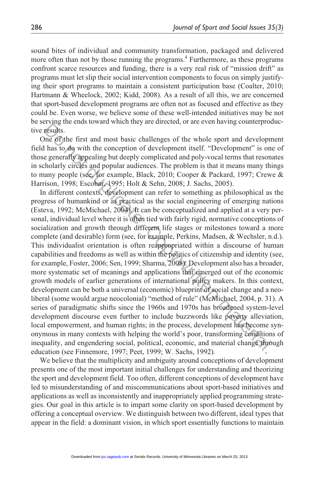sound bites of individual and community transformation, packaged and delivered more often than not by those running the programs.<sup>4</sup> Furthermore, as these programs confront scarce resources and funding, there is a very real risk of "mission drift" as programs must let slip their social intervention components to focus on simply justifying their sport programs to maintain a consistent participation base (Coalter, 2010; Hartmann & Wheelock, 2002; Kidd, 2008). As a result of all this, we are concerned that sport-based development programs are often not as focused and effective as they could be. Even worse, we believe some of these well-intended initiatives may be not be serving the ends toward which they are directed, or are even having counterproductive results.

One of the first and most basic challenges of the whole sport and development field has to do with the conception of development itself. "Development" is one of those generally appealing but deeply complicated and poly-vocal terms that resonates in scholarly circles and popular audiences. The problem is that it means many things to many people (see, for example, Black, 2010; Cooper & Packard, 1997; Crewe & Harrison, 1998; Escobar, 1995; Holt & Sehn, 2008; J. Sachs, 2005).

In different contexts, development can refer to something as philosophical as the progress of humankind or as practical as the social engineering of emerging nations (Esteva, 1992; McMichael, 2004). It can be conceptualized and applied at a very personal, individual level where it is often tied with fairly rigid, normative conceptions of socialization and growth through different life stages or milestones toward a more complete (and desirable) form (see, for example, Perkins, Madsen, & Wechsler, n.d.). This individualist orientation is often reappropriated within a discourse of human capabilities and freedoms as well as within the politics of citizenship and identity (see, for example, Foster, 2006; Sen, 1999; Sharma, 2008). Development also has a broader, more systematic set of meanings and applications that emerged out of the economic growth models of earlier generations of international policy makers. In this context, development can be both a universal (economic) blueprint of social change and a neoliberal (some would argue neocolonial) "method of rule" (McMichael, 2004, p. 31). A series of paradigmatic shifts since the 1960s and 1970s has broadened system-level development discourse even further to include buzzwords like poverty alleviation, local empowerment, and human rights; in the process, development has become synonymous in many contexts with helping the world's poor, transforming conditions of inequality, and engendering social, political, economic, and material change through education (see Finnemore, 1997; Peet, 1999; W. Sachs, 1992). Figure and most basis challenges of the whole spotterial results.<br>
The digit and most basic challenges of the whole sport and development<br>
has to de with the conception of development iself. "Development" is one<br>
e genera

We believe that the multiplicity and ambiguity around conceptions of development presents one of the most important initial challenges for understanding and theorizing the sport and development field. Too often, different conceptions of development have led to misunderstanding of and miscommunications about sport-based initiatives and applications as well as inconsistently and inappropriately applied programming strategies. Our goal in this article is to impart some clarity on sport-based development by offering a conceptual overview. We distinguish between two different, ideal types that appear in the field: a dominant vision, in which sport essentially functions to maintain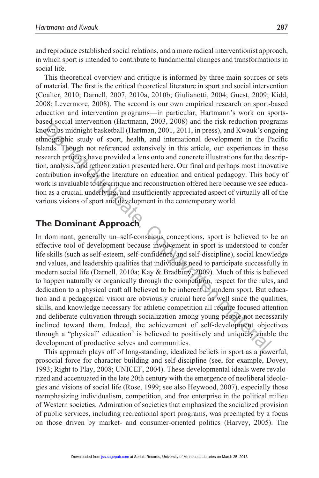and reproduce established social relations, and a more radical interventionist approach, in which sport is intended to contribute to fundamental changes and transformations in social life.

This theoretical overview and critique is informed by three main sources or sets of material. The first is the critical theoretical literature in sport and social intervention (Coalter, 2010; Darnell, 2007, 2010a, 2010b; Giulianotti, 2004; Guest, 2009; Kidd, 2008; Levermore, 2008). The second is our own empirical research on sport-based education and intervention programs—in particular, Hartmann's work on sportsbased social intervention (Hartmann, 2003, 2008) and the risk reduction programs known as midnight basketball (Hartman, 2001, 2011, in press), and Kwauk's ongoing ethnographic study of sport, health, and international development in the Pacific Islands. Though not referenced extensively in this article, our experiences in these research projects have provided a lens onto and concrete illustrations for the description, analysis, and retheorization presented here. Our final and perhaps most innovative contribution involves the literature on education and critical pedagogy. This body of work is invaluable to the critique and reconstruction offered here because we see education as a crucial, underlying, and insufficiently appreciated aspect of virtually all of the various visions of sport and development in the contemporary world.

## **The Dominant Approach**

In dominant, generally un–self-conscious conceptions, sport is believed to be an effective tool of development because involvement in sport is understood to confer life skills (such as self-esteem, self-confidence, and self-discipline), social knowledge and values, and leadership qualities that individuals need to participate successfully in modern social life (Darnell, 2010a; Kay & Bradbury, 2009). Much of this is believed to happen naturally or organically through the competition, respect for the rules, and dedication to a physical craft all believed to be inherent in modern sport. But education and a pedagogical vision are obviously crucial here as well since the qualities, skills, and knowledge necessary for athletic competition all require focused attention and deliberate cultivation through socialization among young people not necessarily inclined toward them. Indeed, the achievement of self-development objectives through a "physical" education<sup>5</sup> is believed to positively and uniquely enable the development of productive selves and communities. Social intervention (trainining 1905, 2009) and are that reaction program<br>
Social in fight basketball (Hartman, 2001, 2011, in press), and Kwauk's ony<br>
mographic study of sport, health, and international development in the

This approach plays off of long-standing, idealized beliefs in sport as a powerful, prosocial force for character building and self-discipline (see, for example, Dovey, 1993; Right to Play, 2008; UNICEF, 2004). These developmental ideals were revalorized and accentuated in the late 20th century with the emergence of neoliberal ideologies and visions of social life (Rose, 1999; see also Heywood, 2007), especially those reemphasizing individualism, competition, and free enterprise in the political milieu of Western societies. Admiration of societies that emphasized the socialized provision of public services, including recreational sport programs, was preempted by a focus on those driven by market- and consumer-oriented politics (Harvey, 2005). The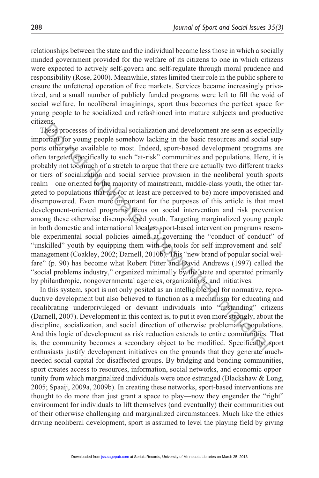relationships between the state and the individual became less those in which a socially minded government provided for the welfare of its citizens to one in which citizens were expected to actively self-govern and self-regulate through moral prudence and responsibility (Rose, 2000). Meanwhile, states limited their role in the public sphere to ensure the unfettered operation of free markets. Services became increasingly privatized, and a small number of publicly funded programs were left to fill the void of social welfare. In neoliberal imaginings, sport thus becomes the perfect space for young people to be socialized and refashioned into mature subjects and productive citizens.

These processes of individual socialization and development are seen as especially important for young people somehow lacking in the basic resources and social supports otherwise available to most. Indeed, sport-based development programs are often targeted specifically to such "at-risk" communities and populations. Here, it is probably not too much of a stretch to argue that there are actually two different tracks or tiers of socialization and social service provision in the neoliberal youth sports realm—one oriented to the majority of mainstream, middle-class youth, the other targeted to populations that are (or at least are perceived to be) more impoverished and disempowered. Even more important for the purposes of this article is that most development-oriented programs focus on social intervention and risk prevention among these otherwise disempowered youth. Targeting marginalized young people in both domestic and international locales, sport-based intervention programs resemble experimental social policies aimed at governing the "conduct of conduct" of "unskilled" youth by equipping them with the tools for self-improvement and selfmanagement (Coakley, 2002; Darnell, 2010b). This "new brand of popular social welfare" (p. 90) has become what Robert Pitter and David Andrews (1997) called the "social problems industry," organized minimally by the state and operated primarily by philanthropic, nongovernmental agencies, organizations, and initiatives. Less processes of individual socialization and development are seen as especientant for young people somehow lacking in the basic resources and social at otherwise available to most. Indeed, sport-based development program

In this system, sport is not only posited as an intelligible tool for normative, reproductive development but also believed to function as a mechanism for educating and recalibrating underprivileged or deviant individuals into "upstanding" citizens (Darnell, 2007). Development in this context is, to put it even more strongly, about the discipline, socialization, and social direction of otherwise problematic populations. And this logic of development as risk reduction extends to entire communities. That is, the community becomes a secondary object to be modified. Specifically, sport enthusiasts justify development initiatives on the grounds that they generate muchneeded social capital for disaffected groups. By bridging and bonding communities, sport creates access to resources, information, social networks, and economic opportunity from which marginalized individuals were once estranged (Blackshaw & Long, 2005; Spaaij, 2009a, 2009b). In creating these networks, sport-based interventions are thought to do more than just grant a space to play—now they engender the "right" environment for individuals to lift themselves (and eventually) their communities out of their otherwise challenging and marginalized circumstances. Much like the ethics driving neoliberal development, sport is assumed to level the playing field by giving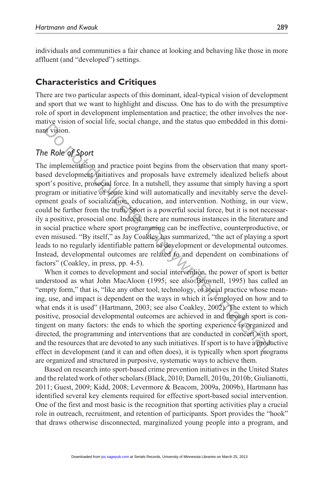individuals and communities a fair chance at looking and behaving like those in more affluent (and "developed") settings.

### **Characteristics and Critiques**

There are two particular aspects of this dominant, ideal-typical vision of development and sport that we want to highlight and discuss. One has to do with the presumptive role of sport in development implementation and practice; the other involves the normative vision of social life, social change, and the status quo embedded in this dominant vision.

## *The Role of Sport*

The implementation and practice point begins from the observation that many sportbased development initiatives and proposals have extremely idealized beliefs about sport's positive, prosocial force. In a nutshell, they assume that simply having a sport program or initiative of some kind will automatically and inevitably serve the development goals of socialization, education, and intervention. Nothing, in our view, could be further from the truth. Sport is a powerful social force, but it is not necessarily a positive, prosocial one. Indeed, there are numerous instances in the literature and in social practice where sport programming can be ineffective, counterproductive, or even misused. "By itself," as Jay Coakley has summarized, "the act of playing a sport leads to no regularly identifiable pattern of development or developmental outcomes. Instead, developmental outcomes are related to and dependent on combinations of factors" (Coakley, in press, pp. 4-5). **EVALUAT:**<br> **EVALUAT:**<br> **EVALUAT:**<br> **EVALUAT:**<br> **EVALUAT:**<br> **EVALUAT:**<br> **EVALUAT:**<br> **EVALUAT:**<br> **EVALUAT:**<br> **EVALUAT:**<br> **EVALUAT:**<br> **EVALUAT:**<br> **EVALUAT:**<br> **EVALUAT:**<br> **EVALUAT:**<br> **EVALUAT:**<br> **EVALUAT:**<br> **EVALUAT:**<br> **EVAL** 

When it comes to development and social intervention, the power of sport is better understood as what John MacAloon (1995; see also Brownell, 1995) has called an "empty form," that is, "like any other tool, technology, or social practice whose meaning, use, and impact is dependent on the ways in which it is employed on how and to what ends it is used" (Hartmann, 2003; see also Coakley, 2002). The extent to which positive, prosocial developmental outcomes are achieved in and through sport is contingent on many factors: the ends to which the sporting experience is organized and directed, the programming and interventions that are conducted in concert with sport, and the resources that are devoted to any such initiatives. If sport is to have a productive effect in development (and it can and often does), it is typically when sport programs are organized and structured in purposive, systematic ways to achieve them.

Based on research into sport-based crime prevention initiatives in the United States and the related work of other scholars (Black, 2010; Darnell, 2010a, 2010b; Giulianotti, 2011; Guest, 2009; Kidd, 2008; Levermore & Beacom, 2009a, 2009b), Hartmann has identified several key elements required for effective sport-based social intervention. One of the first and most basic is the recognition that sporting activities play a crucial role in outreach, recruitment, and retention of participants. Sport provides the "hook" that draws otherwise disconnected, marginalized young people into a program, and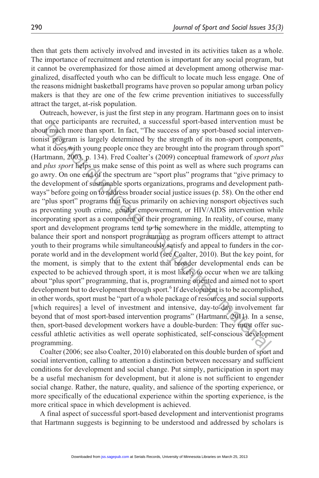then that gets them actively involved and invested in its activities taken as a whole. The importance of recruitment and retention is important for any social program, but it cannot be overemphasized for those aimed at development among otherwise marginalized, disaffected youth who can be difficult to locate much less engage. One of the reasons midnight basketball programs have proven so popular among urban policy makers is that they are one of the few crime prevention initiatives to successfully attract the target, at-risk population.

Outreach, however, is just the first step in any program. Hartmann goes on to insist that once participants are recruited, a successful sport-based intervention must be about much more than sport. In fact, "The success of any sport-based social interventionist program is largely determined by the strength of its non-sport components, what it does with young people once they are brought into the program through sport" (Hartmann, 2003, p. 134). Fred Coalter's (2009) conceptual framework of *sport plus* and *plus sport* helps us make sense of this point as well as where such programs can go awry. On one end of the spectrum are "sport plus" programs that "give primacy to the development of sustainable sports organizations, programs and development pathways" before going on to address broader social justice issues (p. 58). On the other end are "plus sport" programs that focus primarily on achieving nonsport objectives such as preventing youth crime, gender empowerment, or HIV/AIDS intervention while incorporating sport as a component of their programming. In reality, of course, many sport and development programs tend to lie somewhere in the middle, attempting to balance their sport and nonsport programming as program officers attempt to attract youth to their programs while simultaneously satisfy and appeal to funders in the corporate world and in the development world (see Coalter, 2010). But the key point, for the moment, is simply that to the extent that broader developmental ends can be expected to be achieved through sport, it is most likely to occur when we are talking about "plus sport" programming, that is, programming oriented and aimed not to sport development but to development through sport.<sup>6</sup> If development is to be accomplished, in other words, sport must be "part of a whole package of resources and social supports [which requires] a level of investment and intensive, day-to-day involvement far beyond that of most sport-based intervention programs" (Hartmann, 2011). In a sense, then, sport-based development workers have a double-burden: They must offer successful athletic activities as well operate sophisticated, self-conscious development programming. once particular and conseleration of the section in the section intervention in the traction in the traction in the proper bone than sport. In fact, "The success of any sport-based social interventive it does with young p

Coalter (2006; see also Coalter, 2010) elaborated on this double burden of sport and social intervention, calling to attention a distinction between necessary and sufficient conditions for development and social change. Put simply, participation in sport may be a useful mechanism for development, but it alone is not sufficient to engender social change. Rather, the nature, quality, and salience of the sporting experience, or more specifically of the educational experience within the sporting experience, is the more critical space in which development is achieved.

A final aspect of successful sport-based development and interventionist programs that Hartmann suggests is beginning to be understood and addressed by scholars is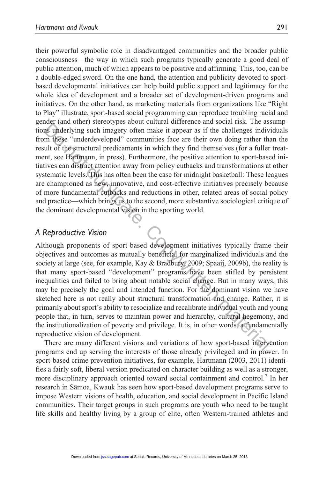their powerful symbolic role in disadvantaged communities and the broader public consciousness—the way in which such programs typically generate a good deal of public attention, much of which appears to be positive and affirming. This, too, can be a double-edged sword. On the one hand, the attention and publicity devoted to sportbased developmental initiatives can help build public support and legitimacy for the whole idea of development and a broader set of development-driven programs and initiatives. On the other hand, as marketing materials from organizations like "Right to Play" illustrate, sport-based social programming can reproduce troubling racial and gender (and other) stereotypes about cultural difference and social risk. The assumptions underlying such imagery often make it appear as if the challenges individuals from these "underdeveloped" communities face are their own doing rather than the result of the structural predicaments in which they find themselves (for a fuller treatment, see Hartmann, in press). Furthermore, the positive attention to sport-based initiatives can distract attention away from policy cutbacks and transformations at other systematic levels. This has often been the case for midnight basketball: These leagues are championed as new, innovative, and cost-effective initiatives precisely because of more fundamental cutbacks and reductions in other, related areas of social policy and practice—which brings us to the second, more substantive sociological critique of the dominant developmental vision in the sporting world.

#### *A Reproductive Vision*

Although proponents of sport-based development initiatives typically frame their objectives and outcomes as mutually beneficial for marginalized individuals and the society at large (see, for example, Kay & Bradbury, 2009; Spaaij, 2009b), the reality is that many sport-based "development" programs have been stifled by persistent inequalities and failed to bring about notable social change. But in many ways, this may be precisely the goal and intended function. For the dominant vision we have sketched here is not really about structural transformation and change. Rather, it is primarily about sport's ability to resocialize and recalibrate individual youth and young people that, in turn, serves to maintain power and hierarchy, cultural hegemony, and the institutionalization of poverty and privilege. It is, in other words, a fundamentally reproductive vision of development. mation and entired intertional method to the state of the state of the method of the method of the structural predicaments in which they find themselves (for a fuller that in the structure predicaments in which they find t

There are many different visions and variations of how sport-based intervention programs end up serving the interests of those already privileged and in power. In sport-based crime prevention initiatives, for example, Hartmann (2003, 2011) identifies a fairly soft, liberal version predicated on character building as well as a stronger, more disciplinary approach oriented toward social containment and control.<sup>7</sup> In her research in Sāmoa, Kwauk has seen how sport-based development programs serve to impose Western visions of health, education, and social development in Pacific Island communities. Their target groups in such programs are youth who need to be taught life skills and healthy living by a group of elite, often Western-trained athletes and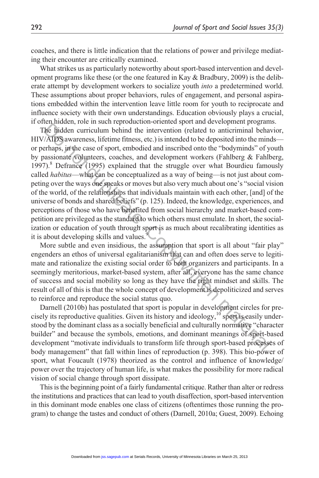coaches, and there is little indication that the relations of power and privilege mediating their encounter are critically examined.

What strikes us as particularly noteworthy about sport-based intervention and development programs like these (or the one featured in Kay  $&$  Bradbury, 2009) is the deliberate attempt by development workers to socialize youth *into* a predetermined world. These assumptions about proper behaviors, rules of engagement, and personal aspirations embedded within the intervention leave little room for youth to reciprocate and influence society with their own understandings. Education obviously plays a crucial, if often hidden, role in such reproduction-oriented sport and development programs.

The hidden curriculum behind the intervention (related to anticriminal behavior, HIV/AIDS awareness, lifetime fitness, etc.) is intended to be deposited into the minds or perhaps, in the case of sport, embodied and inscribed onto the "bodyminds" of youth by passionate volunteers, coaches, and development workers (Fahlberg  $\&$  Fahlberg, 1997).<sup>8</sup> Defrance (1995) explained that the struggle over what Bourdieu famously called *habitus*—what can be conceptualized as a way of being—is not just about competing over the ways one speaks or moves but also very much about one's "social vision of the world, of the relationships that individuals maintain with each other, [and] of the universe of bonds and shared beliefs" (p. 125). Indeed, the knowledge, experiences, and perceptions of those who have benefited from social hierarchy and market-based competition are privileged as the standard to which others must emulate. In short, the socialization or education of youth through sport is as much about recalibrating identities as it is about developing skills and values.<sup>9</sup> Example the case of spot states. The completed of the concept of the development propartion of the finden curriculum behind the intervention (related to anticriminal behaves a state of spot energy in the case of spot ener

More subtle and even insidious, the assumption that sport is all about "fair play" engenders an ethos of universal egalitarianism that can and often does serve to legitimate and rationalize the existing social order to both organizers and participants. In a seemingly meritorious, market-based system, after all, everyone has the same chance of success and social mobility so long as they have the right mindset and skills. The result of all of this is that the whole concept of development is depoliticized and serves to reinforce and reproduce the social status quo.

Darnell (2010b) has postulated that sport is popular in development circles for precisely its reproductive qualities. Given its history and ideology,  $^{10}$  sport is easily understood by the dominant class as a socially beneficial and culturally normative "character builder" and because the symbols, emotions, and dominant meanings of sport-based development "motivate individuals to transform life through sport-based processes of body management" that fall within lines of reproduction (p. 398). This bio-power of sport, what Foucault (1978) theorized as the control and influence of knowledge/ power over the trajectory of human life, is what makes the possibility for more radical vision of social change through sport dissipate.

This is the beginning point of a fairly fundamental critique. Rather than alter or redress the institutions and practices that can lead to youth disaffection, sport-based intervention in this dominant mode enables one class of citizens (oftentimes those running the program) to change the tastes and conduct of others (Darnell, 2010a; Guest, 2009). Echoing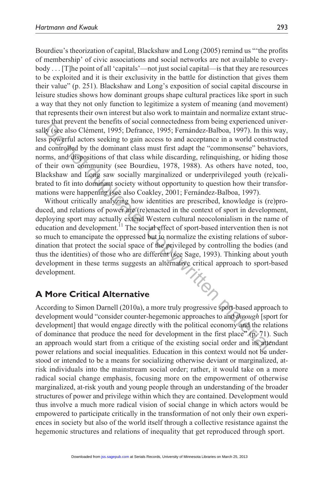Bourdieu's theorization of capital, Blackshaw and Long (2005) remind us "'the profits of membership' of civic associations and social networks are not available to everybody . . . [T]he point of all 'capitals'—not just social capital—is that they are resources to be exploited and it is their exclusivity in the battle for distinction that gives them their value" (p. 251). Blackshaw and Long's exposition of social capital discourse in leisure studies shows how dominant groups shape cultural practices like sport in such a way that they not only function to legitimize a system of meaning (and movement) that represents their own interest but also work to maintain and normalize extant structures that prevent the benefits of social connectedness from being experienced universally (see also Clément, 1995; Defrance, 1995; Fernández-Balboa, 1997). In this way, less powerful actors seeking to gain access to and acceptance in a world constructed and controlled by the dominant class must first adapt the "commonsense" behaviors, norms, and dispositions of that class while discarding, relinquishing, or hiding those of their own community (see Bourdieu, 1978, 1988). As others have noted, too, Blackshaw and Long saw socially marginalized or underprivileged youth (re)calibrated to fit into dominant society without opportunity to question how their transformations were happening (see also Coakley, 2001; Fernández-Balboa, 1997).

Without critically analyzing how identities are prescribed, knowledge is (re)produced, and relations of power are (re)enacted in the context of sport in development, deploying sport may actually extend Western cultural neocolonialism in the name of education and development.<sup>11</sup> The social effect of sport-based intervention then is not so much to emancipate the oppressed but to normalize the existing relations of subordination that protect the social space of the privileged by controlling the bodies (and thus the identities) of those who are different (see Sage, 1993). Thinking about youth development in these terms suggests an alternative critical approach to sport-based<br>development. development. Some prevent in counteral as some connected and a proper server between the consideration of the control of the dentication of the common same first adapt the "commonsene" behavior and dispositions of that class must firs

## **A More Critical Alternative**

According to Simon Darnell (2010a), a more truly progressive sport-based approach to development would "consider counter-hegemonic approaches to and *through* [sport for development] that would engage directly with the political economy and the relations of dominance that produce the need for development in the first place"  $(p, 71)$ . Such an approach would start from a critique of the existing social order and its attendant power relations and social inequalities. Education in this context would not be understood or intended to be a means for socializing otherwise deviant or marginalized, atrisk individuals into the mainstream social order; rather, it would take on a more radical social change emphasis, focusing more on the empowerment of otherwise marginalized, at-risk youth and young people through an understanding of the broader structures of power and privilege within which they are contained. Development would thus involve a much more radical vision of social change in which actors would be empowered to participate critically in the transformation of not only their own experiences in society but also of the world itself through a collective resistance against the hegemonic structures and relations of inequality that get reproduced through sport.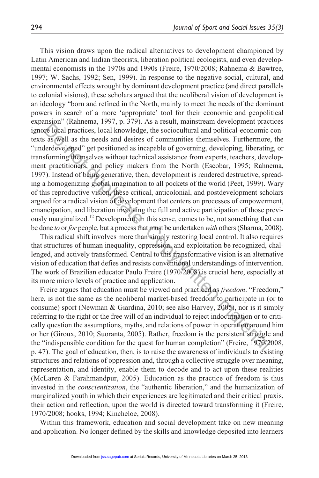This vision draws upon the radical alternatives to development championed by Latin American and Indian theorists, liberation political ecologists, and even developmental economists in the 1970s and 1990s (Freire, 1970/2008; Rahnema & Bawtree, 1997; W. Sachs, 1992; Sen, 1999). In response to the negative social, cultural, and environmental effects wrought by dominant development practice (and direct parallels to colonial visions), these scholars argued that the neoliberal vision of development is an ideology "born and refined in the North, mainly to meet the needs of the dominant powers in search of a more 'appropriate' tool for their economic and geopolitical expansion" (Rahnema, 1997, p. 379). As a result, mainstream development practices ignore local practices, local knowledge, the sociocultural and political-economic contexts as well as the needs and desires of communities themselves. Furthermore, the "underdeveloped" get positioned as incapable of governing, developing, liberating, or transforming themselves without technical assistance from experts, teachers, development practitioners, and policy makers from the North (Escobar, 1995; Rahnema, 1997). Instead of being generative, then, development is rendered destructive, spreading a homogenizing global imagination to all pockets of the world (Peet, 1999). Wary of this reproductive vision, these critical, anticolonial, and postdevelopment scholars argued for a radical vision of development that centers on processes of empowerment, emancipation, and liberation involving the full and active participation of those previously marginalized.<sup>12</sup> Development, in this sense, comes to be, not something that can be done *to* or *for* people, but a process that must be undertaken *with* others (Sharma, 2008). and the method in the state in the state of the present in the state of the state of the state of the state of the state of the state of the state of the state of the state of the state of the state of the state of the st

This radical shift involves more than simply restoring local control. It also requires that structures of human inequality, oppression, and exploitation be recognized, challenged, and actively transformed. Central to this transformative vision is an alternative vision of education that defies and resists conventional understandings of intervention. The work of Brazilian educator Paulo Freire (1970/2008) is crucial here, especially at its more micro levels of practice and application.

Freire argues that education must be viewed and practiced as *freedom*. "Freedom," here, is not the same as the neoliberal market-based freedom to participate in (or to consume) sport (Newman & Giardina, 2010; see also Harvey, 2005), nor is it simply referring to the right or the free will of an individual to reject indoctrination or to critically question the assumptions, myths, and relations of power in operation around him or her (Giroux, 2010; Suoranta, 2005). Rather, freedom is the persistent struggle and the "indispensible condition for the quest for human completion" (Freire, 1970/2008, p. 47). The goal of education, then, is to raise the awareness of individuals to existing structures and relations of oppression and, through a collective struggle over meaning, representation, and identity, enable them to decode and to act upon these realities (McLaren & Farahmandpur, 2005). Education as the practice of freedom is thus invested in the *conscientization*, the "authentic liberation," and the humanization of marginalized youth in which their experiences are legitimated and their critical praxis, their action and reflection, upon the world is directed toward transforming it (Freire, 1970/2008; hooks, 1994; Kincheloe, 2008).

Within this framework, education and social development take on new meaning and application. No longer defined by the skills and knowledge deposited into learners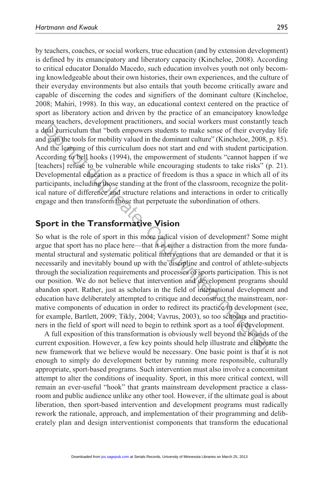by teachers, coaches, or social workers, true education (and by extension development) is defined by its emancipatory and liberatory capacity (Kincheloe, 2008). According to critical educator Donaldo Macedo, such education involves youth not only becoming knowledgeable about their own histories, their own experiences, and the culture of their everyday environments but also entails that youth become critically aware and capable of discerning the codes and signifiers of the dominant culture (Kincheloe, 2008; Mahiri, 1998). In this way, an educational context centered on the practice of sport as liberatory action and driven by the practice of an emancipatory knowledge means teachers, development practitioners, and social workers must constantly teach a dual curriculum that "both empowers students to make sense of their everyday life and gain the tools for mobility valued in the dominant culture" (Kincheloe, 2008, p. 85). And the learning of this curriculum does not start and end with student participation. According to bell hooks (1994), the empowerment of students "cannot happen if we [teachers] refuse to be vulnerable while encouraging students to take risks" (p. 21). Developmental education as a practice of freedom is thus a space in which all of its participants, including those standing at the front of the classroom, recognize the political nature of difference and structure relations and interactions in order to critically engage and then transform those that perpetuate the subordination of others.

## **Sport in the Transformative Vision**

So what is the role of sport in this more radical vision of development? Some might argue that sport has no place here—that it is either a distraction from the more fundamental structural and systematic political interventions that are demanded or that it is necessarily and inevitably bound up with the discipline and control of athlete-subjects through the socialization requirements and processes of sports participation. This is not our position. We do not believe that intervention and development programs should abandon sport. Rather, just as scholars in the field of international development and education have deliberately attempted to critique and deconstruct the mainstream, normative components of education in order to redirect its practice in development (see, for example, Bartlett, 2009; Tikly, 2004; Vavrus, 2003), so too scholars and practitioners in the field of sport will need to begin to rethink sport as a tool of development. Learning cannot paralloning with sole and workers with sole and weak with the dependent paralloning denotes and weak the express of their everyds gain the tools for mobility valued in the dominant culture" (Kincheloe, 200

A full exposition of this transformation is obviously well beyond the bounds of the current exposition. However, a few key points should help illustrate and elaborate the new framework that we believe would be necessary. One basic point is that it is not enough to simply do development better by running more responsible, culturally appropriate, sport-based programs. Such intervention must also involve a concomitant attempt to alter the conditions of inequality. Sport, in this more critical context, will remain an ever-useful "hook" that grants mainstream development practice a classroom and public audience unlike any other tool. However, if the ultimate goal is about liberation, then sport-based intervention and development programs must radically rework the rationale, approach, and implementation of their programming and deliberately plan and design interventionist components that transform the educational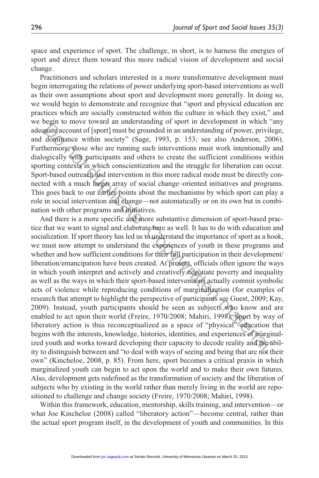space and experience of sport. The challenge, in short, is to harness the energies of sport and direct them toward this more radical vision of development and social change.

Practitioners and scholars interested in a more transformative development must begin interrogating the relations of power underlying sport-based interventions as well as their own assumptions about sport and development more generally. In doing so, we would begin to demonstrate and recognize that "sport and physical education are practices which are socially constructed within the culture in which they exist," and we begin to move toward an understanding of sport in development in which "any adequate account of [sport] must be grounded in an understanding of power, privilege, and dominance within society" (Sage, 1993, p. 153; see also Anderson, 2006). Furthermore, those who are running such interventions must work intentionally and dialogically with participants and others to create the sufficient conditions within sporting contexts in which conscientization and the struggle for liberation can occur. Sport-based outreach and intervention in this more radical mode must be directly connected with a much larger array of social change–oriented initiatives and programs. This goes back to our earlier points about the mechanisms by which sport can play a role in social intervention and change—not automatically or on its own but in combination with other programs and initiatives.

And there is a more specific and more substantive dimension of sport-based practice that we want to signal and elaborate here as well. It has to do with education and socialization. If sport theory has led us to understand the importance of sport as a hook, we must now attempt to understand the experiences of youth in these programs and whether and how sufficient conditions for their full participation in their development/ liberation/emancipation have been created. At present, officials often ignore the ways in which youth interpret and actively and creatively negotiate poverty and inequality as well as the ways in which their sport-based interventions actually commit symbolic acts of violence while reproducing conditions of marginalization (for examples of research that attempt to highlight the perspective of participants see Guest, 2009; Kay, 2009). Instead, youth participants should be seen as subjects who know and are enabled to act upon their world (Freire, 1970/2008; Mahiri, 1998). Sport by way of liberatory action is thus reconceptualized as a space of "physical" education that begins with the interests, knowledge, histories, identities, and experiences of marginalized youth and works toward developing their capacity to decode reality and the ability to distinguish between and "to deal with ways of seeing and being that are not their own" (Kincheloe, 2008, p. 85). From here, sport becomes a critical praxis in which marginalized youth can begin to act upon the world and to make their own futures. Also, development gets redefined as the transformation of society and the liberation of subjects who by existing in the world rather than merely living in the world are repositioned to challenge and change society (Freire, 1970/2008; Mahiri, 1998). began to move two marial understanding or spot in excluption in when<br>the plate account of [spor] must be grounded in an understanding of power, privildominance within society" (Sage, 1993, p. 153; see also Anderson, 20 do

Within this framework, education, mentorship, skills training, and intervention—or what Joe Kincheloe (2008) called "liberatory action"—become central, rather than the actual sport program itself, in the development of youth and communities. In this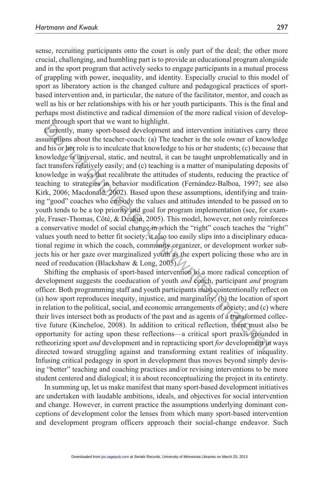sense, recruiting participants onto the court is only part of the deal; the other more crucial, challenging, and humbling part is to provide an educational program alongside and in the sport program that actively seeks to engage participants in a mutual process of grappling with power, inequality, and identity. Especially crucial to this model of sport as liberatory action is the changed culture and pedagogical practices of sportbased intervention and, in particular, the nature of the facilitator, mentor, and coach as well as his or her relationships with his or her youth participants. This is the final and perhaps most distinctive and radical dimension of the more radical vision of development through sport that we want to highlight.

Currently, many sport-based development and intervention initiatives carry three assumptions about the teacher-coach: (a) The teacher is the sole owner of knowledge and his or her role is to inculcate that knowledge to his or her students; (c) because that knowledge is universal, static, and neutral, it can be taught unproblematically and in fact transfers relatively easily; and (c) teaching is a matter of manipulating deposits of knowledge in ways that recalibrate the attitudes of students, reducing the practice of teaching to strategies in behavior modification (Fernández-Balboa, 1997; see also Kirk, 2006; Macdonald, 2002). Based upon these assumptions, identifying and training "good" coaches who embody the values and attitudes intended to be passed on to youth tends to be a top priority and goal for program implementation (see, for example, Fraser-Thomas, Côté, & Deakin, 2005). This model, however, not only reinforces a conservative model of social change in which the "right" coach teaches the "right" values youth need to better fit society; it also too easily slips into a disciplinary educational regime in which the coach, community organizer, or development worker subjects his or her gaze over marginalized youth as the expert policing those who are in need of reeducation (Blackshaw & Long, 2005). In among a sport and we want of my<br>integral sport for the ender on the ender of the ender that content and intervention initiatives carry<br>umptions about the teacher-coach: (a) The teacher is the sole owner of know<br>wowledg

Shifting the emphasis of sport-based intervention to a more radical conception of development suggests the coeducation of youth *and* coach, participant *and* program officer. Both programming staff and youth participants must cointentionally reflect on (a) how sport reproduces inequity, injustice, and marginality; (b) the location of sport in relation to the political, social, and economic arrangements of society; and (c) where their lives intersect both as products of the past and as agents of a transformed collective future (Kincheloe, 2008). In addition to critical reflection, there must also be opportunity for acting upon these reflections—a critical sport praxis grounded in retheorizing sport *and* development and in repracticing sport *for* development in ways directed toward struggling against and transforming extant realities of inequality. Infusing critical pedagogy in sport in development thus moves beyond simply devising "better" teaching and coaching practices and/or revising interventions to be more student centered and dialogical; it is about reconceptualizing the project in its entirety.

In summing up, let us make manifest that many sport-based development initiatives are undertaken with laudable ambitions, ideals, and objectives for social intervention and change. However, in current practice the assumptions underlying dominant conceptions of development color the lenses from which many sport-based intervention and development program officers approach their social-change endeavor. Such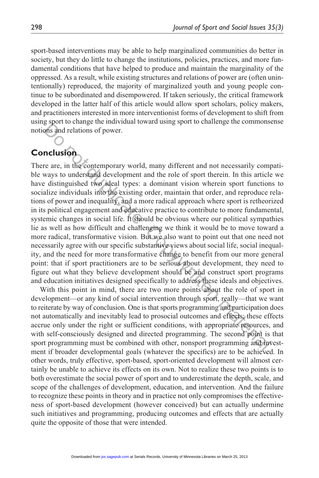sport-based interventions may be able to help marginalized communities do better in society, but they do little to change the institutions, policies, practices, and more fundamental conditions that have helped to produce and maintain the marginality of the oppressed. As a result, while existing structures and relations of power are (often unintentionally) reproduced, the majority of marginalized youth and young people continue to be subordinated and disempowered. If taken seriously, the critical framework developed in the latter half of this article would allow sport scholars, policy makers, and practitioners interested in more interventionist forms of development to shift from using sport to change the individual toward using sport to challenge the commonsense notions and relations of power.

#### **Conclusion**

There are, in the contemporary world, many different and not necessarily compatible ways to understand development and the role of sport therein. In this article we have distinguished two ideal types: a dominant vision wherein sport functions to socialize individuals into the existing order, maintain that order, and reproduce relations of power and inequality, and a more radical approach where sport is retheorized in its political engagement and educative practice to contribute to more fundamental, systemic changes in social life. It should be obvious where our political sympathies lie as well as how difficult and challenging we think it would be to move toward a more radical, transformative vision. But we also want to point out that one need not necessarily agree with our specific substantive views about social life, social inequality, and the need for more transformative change to benefit from our more general point: that if sport practitioners are to be serious about development, they need to figure out what they believe development should be and construct sport programs and education initiatives designed specifically to address these ideals and objectives. spectra controllations of power.<br>
Sign and relations of power.<br>
The contemporary world, many different and not necessarily comparison and relations of power.<br>
The contemporary world, many different and not necessarily comp

With this point in mind, there are two more points about the role of sport in development—or any kind of social intervention through sport, really—that we want to reiterate by way of conclusion. One is that sports programming and participation does not automatically and inevitably lead to prosocial outcomes and effects; these effects accrue only under the right or sufficient conditions, with appropriate resources, and with self-consciously designed and directed programming. The second point is that sport programming must be combined with other, nonsport programming and investment if broader developmental goals (whatever the specifics) are to be achieved. In other words, truly effective, sport-based, sport-oriented development will almost certainly be unable to achieve its effects on its own. Not to realize these two points is to both overestimate the social power of sport and to underestimate the depth, scale, and scope of the challenges of development, education, and intervention. And the failure to recognize these points in theory and in practice not only compromises the effectiveness of sport-based development (however conceived) but can actually undermine such initiatives and programming, producing outcomes and effects that are actually quite the opposite of those that were intended.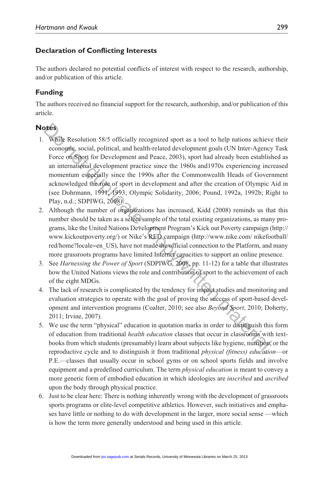#### **Declaration of Conflicting Interests**

The authors declared no potential conflicts of interest with respect to the research, authorship, and/or publication of this article.

#### **Funding**

The authors received no financial support for the research, authorship, and/or publication of this article.

### **Notes**

- 1. While Resolution 58/5 officially recognized sport as a tool to help nations achieve their economic, social, political, and health-related development goals (UN Inter-Agency Task Force on Sport for Development and Peace, 2003), sport had already been established as an international development practice since the 1960s and1970s experiencing increased momentum especially since the 1990s after the Commonwealth Heads of Government acknowledged the role of sport in development and after the creation of Olympic Aid in (see Dohrmann, 1991, 1993; Olympic Solidarity, 2006; Pound, 1992a, 1992b; Right to Play, n.d.; SDPIWG, 2008). **2685**<br>**Solution 58/5 officially recognized sport as a tool to help nations achieved corooning, social, political, and health-related development goals (UN Inter-Agency<br>Force on Sport for Development and Peace, 2003), spo**
- 2. Although the number of organizations has increased, Kidd (2008) reminds us that this number should be taken as a select sample of the total existing organizations, as many programs, like the United Nations Development Program's Kick out Poverty campaign (http:// www.kickoutpoverty.org/) or Nike's RED campaign (http://www.nike.com/ nikefootball/ red/home?locale=en\_US), have not made the official connection to the Platform, and many more grassroots programs have limited Internet capacities to support an online presence.
- 3. See *Harnessing the Power of Sport* (SDPIWG, 2008, pp. 11-12) for a table that illustrates how the United Nations views the role and contribution of sport to the achievement of each of the eight MDGs.
- 4. The lack of research is complicated by the tendency for impact studies and monitoring and evaluation strategies to operate with the goal of proving the success of sport-based development and intervention programs (Coalter, 2010; see also *Beyond Sport*, 2010; Doherty, 2011; Irvine, 2007).
- 5. We use the term "physical" education in quotation marks in order to distinguish this form of education from traditional *health education* classes that occur in classrooms with textbooks from which students (presumably) learn about subjects like hygiene, nutrition, or the reproductive cycle and to distinguish it from traditional *physical (fitness) education*—or P.E.—classes that usually occur in school gyms or on school sports fields and involve equipment and a predefined curriculum. The term *physical education* is meant to convey a more generic form of embodied education in which ideologies are *inscribed* and *ascribed* upon the body through physical practice.
- 6. Just to be clear here: There is nothing inherently wrong with the development of grassroots sports programs or elite-level competitive athletics. However, such initiatives and emphases have little or nothing to do with development in the larger, more social sense —which is how the term more generally understood and being used in this article.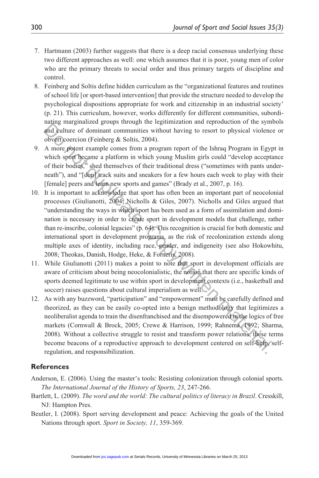- 7. Hartmann (2003) further suggests that there is a deep racial consensus underlying these two different approaches as well: one which assumes that it is poor, young men of color who are the primary threats to social order and thus primary targets of discipline and control.
- 8. Feinberg and Soltis define hidden curriculum as the "organizational features and routines of school life [or sport-based intervention] that provide the structure needed to develop the psychological dispositions appropriate for work and citizenship in an industrial society' (p. 21). This curriculum, however, works differently for different communities, subordinating marginalized groups through the legitimization and reproduction of the symbols and culture of dominant communities without having to resort to physical violence or obvert coercion (Feinberg & Soltis, 2004).
- 9. A more potent example comes from a program report of the Ishraq Program in Egypt in which sport became a platform in which young Muslim girls could "develop acceptance of their bodies," shed themselves of their traditional dress ("sometimes with pants underneath"), and "[don] track suits and sneakers for a few hours each week to play with their [female] peers and learn new sports and games" (Brady et al., 2007, p. 16).
- 10. It is important to acknowledge that sport has often been an important part of neocolonial processes (Giulianotti, 2004; Nicholls & Giles, 2007). Nicholls and Giles argued that "understanding the ways in which sport has been used as a form of assimilation and domination is necessary in order to create sport in development models that challenge, rather than re-inscribe, colonial legacies" (p. 64). This recognition is crucial for both domestic and international sport in development programs, as the risk of recolonization extends along multiple axes of identity, including race, gender, and indigeneity (see also Hokowhitu, 2008; Theokas, Danish, Hodge, Heke, & Forneris, 2008). many and metallication and the expansion of the symmatized with a spectration of the symmatize of dominant communities without having to resort to physical violent obverf(coercion (Feinberg & Soltis, 2004).<br>
Which sport b
- 11. While Giulianotti (2011) makes a point to note that sport in development officials are aware of criticism about being neocolonialistic, the notion that there are specific kinds of sports deemed legitimate to use within sport in development contexts (i.e., basketball and soccer) raises questions about cultural imperialism as well.
- 12. As with any buzzword, "participation" and "empowerment" must be carefully defined and theorized, as they can be easily co-opted into a benign methodology that legitimizes a neoliberalist agenda to train the disenfranchised and the disempowered in the logics of free markets (Cornwall & Brock, 2005; Crewe & Harrison, 1999; Rahnema, 1992; Sharma, 2008). Without a collective struggle to resist and transform power relations, these terms become beacons of a reproductive approach to development centered on self-help, selfregulation, and responsibilization.

#### **References**

- Anderson, E. (2006). Using the master's tools: Resisting colonization through colonial sports. *The International Journal of the History of Sports, 23*, 247-266.
- Bartlett, L. (2009). *The word and the world: The cultural politics of literacy in Brazil*. Cresskill, NJ: Hampton Pres.
- Beutler, I. (2008). Sport serving development and peace: Achieving the goals of the United Nations through sport. *Sport in Society, 11*, 359-369.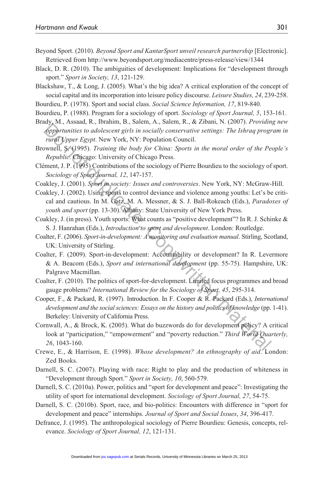- Beyond Sport. (2010). *Beyond Sport and KantarSport unveil research partnership* [Electronic]. Retrieved from http://www.beyondsport.org/mediacentre/press-release/view/1344
- Black, D. R. (2010). The ambiguities of development: Implications for "development through sport." *Sport in Society, 13*, 121-129.
- Blackshaw, T., & Long, J. (2005). What's the big idea? A critical exploration of the concept of social capital and its incorporation into leisure policy discourse. *Leisure Studies, 24*, 239-258.
- Bourdieu, P. (1978). Sport and social class. *Social Science Information, 17*, 819-840.
- Bourdieu, P. (1988). Program for a sociology of sport. *Sociology of Sport Journal, 5*, 153-161.
- Brady, M., Assaad, R., Ibrahim, B., Salem, A., Salem, R., & Zibani, N. (2007). *Providing new opportunities to adolescent girls in socially conservative settings: The Ishraq program in rural Upper Egypt*. New York, NY: Population Council.
- Brownell, S. (1995). *Training the body for China: Sports in the moral order of the People's Republic*. Chicago: University of Chicago Press.
- Clément, J. P. (1995) Contributions of the sociology of Pierre Bourdieu to the sociology of sport. *Sociology of Sport Journal, 12*, 147-157.
- Coakley, J. (2001). *Sport in society: Issues and controversies*. New York, NY: McGraw-Hill.
- Coakley, J. (2002). Using sports to control deviance and violence among youths: Let's be critical and cautious. In M. Gatz, M. A. Messner, & S. J. Ball-Rokeach (Eds.), *Paradoxes of youth and sport* (pp. 13-30). Albany: State University of New York Press. Sometime the booking that the system, it is the train, it, we have the controllation of oppertunities to adolescent girls in socially conservative settings: The Ishraq program ( $\frac{1}{2}$  (1995). Training the body for Chin
- Coakley, J. (in press). Youth sports: What counts as "positive development"? In R. J. Schinke & S. J. Hanrahan (Eds.), *Introduction to sport and development*. London: Routledge.
- Coalter, F. (2006). *Sport-in-development: A monitoring and evaluation manual*. Stirling, Scotland, UK: University of Stirling.
- Coalter, F. (2009). Sport-in-development: Accountability or development? In R. Levermore & A. Beacom (Eds.), *Sport and international development* (pp. 55-75). Hampshire, UK: Palgrave Macmillan.
- Coalter, F. (2010). The politics of sport-for-development. Limited focus programmes and broad gauge problems? *International Review for the Sociology of Sport, 45*, 295-314.
- Cooper, F., & Packard, R. (1997). Introduction. In F. Cooper & R. Packard (Eds.), *International development and the social sciences: Essays on the history and politics of knowledge* (pp. 1-41). Berkeley: University of California Press.
- Cornwall, A., & Brock, K. (2005). What do buzzwords do for development policy? A critical look at "participation," "empowerment" and "poverty reduction." *Third World Quarterly, 26*, 1043-160.
- Crewe, E., & Harrison, E. (1998). *Whose development? An ethnography of aid*. London: Zed Books.
- Darnell, S. C. (2007). Playing with race: Right to play and the production of whiteness in "Development through Sport." *Sport in Society, 10*, 560-579.
- Darnell, S. C. (2010a). Power, politics and "sport for development and peace": Investigating the utility of sport for international development. *Sociology of Sport Journal, 27*, 54-75.
- Darnell, S. C. (2010b). Sport, race, and bio-politics: Encounters with difference in "sport for development and peace" internships. *Journal of Sport and Social Issues*, *34*, 396-417.
- Defrance, J. (1995). The anthropological sociology of Pierre Bourdieu: Genesis, concepts, relevance. *Sociology of Sport Journal, 12*, 121-131.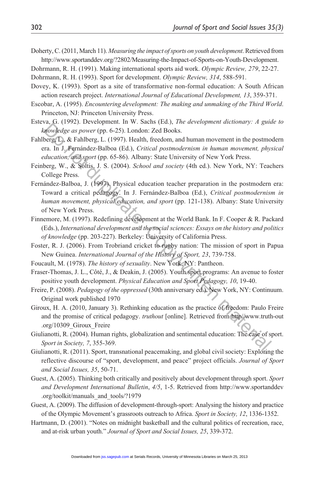- Doherty, C. (2011, March 11). *Measuring the impact of sports on youth development*. Retrieved from http://www.sportanddev.org/?2802/Measuring-the-Impact-of-Sports-on-Youth-Development.
- Dohrmann, R. H. (1991). Making international sports aid work. *Olympic Review, 279*, 22-27.

Dohrmann, R. H. (1993). Sport for development. *Olympic Review, 314*, 588-591.

- Dovey, K. (1993). Sport as a site of transformative non-formal education: A South African action research project. *International Journal of Educational Development, 13*, 359-371.
- Escobar, A. (1995). *Encountering development: The making and unmaking of the Third World*. Princeton, NJ: Princeton University Press.
- Esteva, G. (1992). Development. In W. Sachs (Ed.), *The development dictionary: A guide to knowledge as power* (pp. 6-25). London: Zed Books.
- Fahlberg, L., & Fahlberg, L. (1997). Health, freedom, and human movement in the postmodern era. In J. Fernández-Balboa (Ed.), *Critical postmodernism in human movement, physical education, and sport* (pp. 65-86). Albany: State University of New York Press.
- Feinberg, W., & Soltis, J. S. (2004). *School and society* (4th ed.). New York, NY: Teachers College Press.
- Fernández-Balboa, J. (1997). Physical education teacher preparation in the postmodern era: Toward a critical pedagogy. In J. Fernández-Balboa (Ed.), *Critical postmodernism in human movement, physical education, and sport* (pp. 121-138). Albany: State University of New York Press. Let  $D_{2D}$ ,  $D_{2D}$ ,  $D_{2D}$ ,  $D_{2D}$ ,  $D_{2D}$ ,  $D_{2D}$ ,  $D_{2D}$ ,  $D_{2D}$ ,  $D_{2D}$ ,  $D_{2D}$ ,  $D_{2D}$ ,  $D_{2D}$ ,  $D_{2D}$ ,  $D_{2D}$ ,  $D_{2D}$ ,  $D_{2D}$ ,  $D_{2D}$ ,  $D_{2D}$ ,  $D_{2D}$ ,  $D_{2D}$ ,  $D_{2D}$ ,  $D_{2D}$ ,  $D_{2D}$ ,  $D_{2D}$ ,
- Finnemore, M. (1997). Redefining development at the World Bank. In F. Cooper & R. Packard (Eds.), *International development and the social sciences: Essays on the history and politics of knowledge* (pp. 203-227). Berkeley: University of California Press.
- Foster, R. J. (2006). From Trobriand cricket to rugby nation: The mission of sport in Papua New Guinea. *International Journal of the History of Sport, 23*, 739-758.
- Foucault, M. (1978). *The history of sexuality*. New York, NY: Pantheon.
- Fraser-Thomas, J. L., Côté, J., & Deakin, J. (2005). Youth sport programs: An avenue to foster positive youth development. *Physical Education and Sport Pedagogy, 10*, 19-40.
- Freire, P. (2008). *Pedagogy of the oppressed* (30th anniversary ed.). New York, NY: Continuum. Original work published 1970
- Giroux, H. A. (2010, January 3). Rethinking education as the practice of freedom: Paulo Freire and the promise of critical pedagogy. *truthout* [online]. Retrieved from http//www.truth-out .org/10309\_Giroux\_Freire
- Giulianotti, R. (2004). Human rights, globalization and sentimental education: The case of sport. *Sport in Society, 7*, 355-369.
- Giulianotti, R. (2011). Sport, transnational peacemaking, and global civil society: Exploring the reflective discourse of "sport, development, and peace" project officials. *Journal of Sport and Social Issues, 35*, 50-71.
- Guest, A. (2005). Thinking both critically and positively about development through sport. *Sport and Development International Bulletin*, *4/5*, 1-5. Retrieved from http://www.sportanddev .org/toolkit/manuals\_and\_tools/?1979
- Guest, A. (2009). The diffusion of development-through-sport: Analysing the history and practice of the Olympic Movement's grassroots outreach to Africa. *Sport in Society, 12*, 1336-1352.
- Hartmann, D. (2001). "Notes on midnight basketball and the cultural politics of recreation, race, and at-risk urban youth." *Journal of Sport and Social Issues, 25*, 339-372.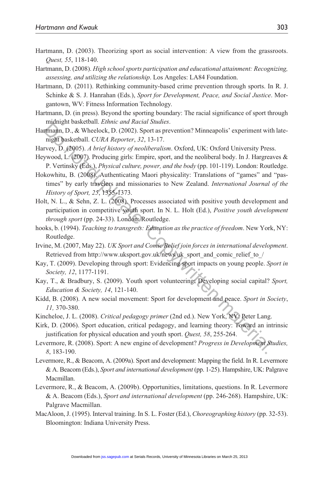- Hartmann, D. (2003). Theorizing sport as social intervention: A view from the grassroots. *Quest, 55*, 118-140.
- Hartmann, D. (2008). *High school sports participation and educational attainment: Recognizing, assessing, and utilizing the relationship*. Los Angeles: LA84 Foundation.
- Hartmann, D. (2011). Rethinking community-based crime prevention through sports. In R. J. Schinke & S. J. Hanrahan (Eds.), *Sport for Development, Peace, and Social Justice*. Morgantown, WV: Fitness Information Technology.
- Hartmann, D. (in press). Beyond the sporting boundary: The racial significance of sport through midnight basketball. *Ethnic and Racial Studies*.
- Hartmann, D., & Wheelock, D. (2002). Sport as prevention? Minneapolis' experiment with latenight basketball. *CURA Reporter*, *32*, 13-17.
- Harvey, D. (2005). *A brief history of neoliberalism*. Oxford, UK: Oxford University Press.
- Heywood, L. (2007). Producing girls: Empire, sport, and the neoliberal body. In J. Hargreaves & P. Vertinsky (Eds.), *Physical culture, power, and the body* (pp. 101-119). London: Routledge.
- Hokowhitu, B. (2008). Authenticating Maori physicality: Translations of "games" and "pastimes" by early travelers and missionaries to New Zealand. *International Journal of the History of Sport, 25*, 1355-1373. manne basecom. *Limita instanta.* There are not have the mattern of the Regional Schement Minimaln, D., & Wheelock, D. (2002). Sport as prevention? Minneapolis' experiment with might basketball. *CURA Reporter*, 32, 13-17
- Holt, N. L., & Sehn, Z. L. (2008). Processes associated with positive youth development and participation in competitive youth sport. In N. L. Holt (Ed.), *Positive youth development through sport* (pp. 24-33). London: Routledge.
- hooks, b. (1994). *Teaching to transgress: Education as the practice of freedom*. New York, NY: Routledge.
- Irvine, M. (2007, May 22). *UK Sport and Comic Relief join forces in international development*. Retrieved from http://www.uksport.gov.uk/news/uk\_sport\_and\_comic\_relief\_to\_/
- Kay, T. (2009). Developing through sport: Evidencing sport impacts on young people. *Sport in Society, 12*, 1177-1191.
- Kay, T., & Bradbury, S. (2009). Youth sport volunteering: Developing social capital? *Sport, Education & Society, 14*, 121-140.
- Kidd, B. (2008). A new social movement: Sport for development and peace. *Sport in Society*, *11,* 370-380.
- Kincheloe, J. L. (2008). *Critical pedagogy primer* (2nd ed.). New York, NY: Peter Lang.
- Kirk, D. (2006). Sport education, critical pedagogy, and learning theory: Toward an intrinsic justification for physical education and youth sport. *Quest, 58*, 255-264.
- Levermore, R. (2008). Sport: A new engine of development? *Progress in Development Studies, 8*, 183-190.
- Levermore, R., & Beacom, A. (2009a). Sport and development: Mapping the field. In R. Levermore & A. Beacom (Eds.), *Sport and international development* (pp. 1-25). Hampshire, UK: Palgrave Macmillan.
- Levermore, R., & Beacom, A. (2009b). Opportunities, limitations, questions. In R. Levermore & A. Beacom (Eds.), *Sport and international development* (pp. 246-268). Hampshire, UK: Palgrave Macmillan.
- MacAloon, J. (1995). Interval training. In S. L. Foster (Ed.), *Choreographing history* (pp. 32-53). Bloomington: Indiana University Press.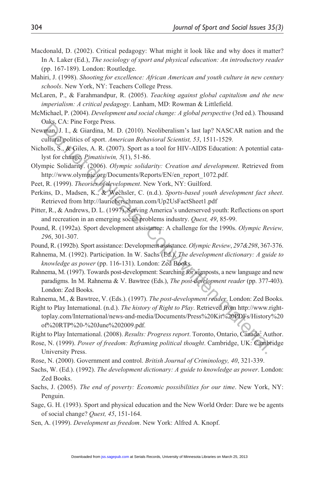- Macdonald, D. (2002). Critical pedagogy: What might it look like and why does it matter? In A. Laker (Ed.), *The sociology of sport and physical education: An introductory reader* (pp. 167-189). London: Routledge.
- Mahiri, J. (1998). *Shooting for excellence: African American and youth culture in new century schools*. New York, NY: Teachers College Press.
- McLaren, P., & Farahmandpur, R. (2005). *Teaching against global capitalism and the new imperialism: A critical pedagogy*. Lanham, MD: Rowman & Littlefield.
- McMichael, P. (2004). *Development and social change: A global perspective* (3rd ed.). Thousand Oaks, CA: Pine Forge Press.
- Newman, J. I., & Giardina, M. D. (2010). Neoliberalism's last lap? NASCAR nation and the cultural politics of sport. *American Behavioral Scientist, 53*, 1511-1529.
- Nicholls, S., & Giles, A. R. (2007). Sport as a tool for HIV-AIDS Education: A potential catalyst for change. *Pimatisiwin, 5*(1), 51-86.
- Olympic Solidarity. (2006). *Olympic solidarity: Creation and development*. Retrieved from http://www.olympic.org/Documents/Reports/EN/en\_report\_1072.pdf.
- Peet, R. (1999). *Theories of development*. New York, NY: Guilford.
- Perkins, D., Madsen, K., & Wechsler, C. (n.d.). *Sports-based youth development fact sheet*. Retrieved from http://laurieherschman.com/Up2UsFactSheet1.pdf
- Pitter, R., & Andrews, D. L. (1997). Serving America's underserved youth: Reflections on sport and recreation in an emerging social problems industry. *Quest, 49*, 85-99.
- Pound, R. (1992a). Sport development assistance: A challenge for the 1990s. *Olympic Review, 296*, 301-307.
- Pound, R. (1992b). Sport assistance: Development assistance. *Olympic Review*, *297&298*, 367-376.
- Rahnema, M. (1992). Participation. In W. Sachs (Ed.), *The development dictionary: A guide to knowledge as power* (pp. 116-131). London: Zed Books.
- Rahnema, M. (1997). Towards post-development: Searching for signposts, a new language and new paradigms. In M. Rahnema & V. Bawtree (Eds.), *The post-development reader* (pp. 377-403). London: Zed Books. **EVALUATIFY 10.13** The Viesure Coupline Singler is 1 and 2 MSCAR nation and<br>
Then, D.I., & Giardina, M. D. (2010). Neoliberalism's last lap? NASCAR nation and<br>
ultural politics of sport. *American Behavioral Scientist, 53*
- Rahnema, M., & Bawtree, V. (Eds.). (1997). *The post-development reader*. London: Zed Books.

Right to Play International. (n.d.). *The history of Right to Play*. Retrieved from http://www.righttoplay.com/International/news-and-media/Documents/Press%20Kit%20PDFs/History%20 of%20RTP%20-%20June%202009.pdf.

- Right to Play International. (2008). *Results: Progress report*. Toronto, Ontario, Canada: Author.
- Rose, N. (1999). *Power of freedom: Reframing political thought*. Cambridge, UK: Cambridge University Press.
- Rose, N. (2000). Government and control. *British Journal of Criminology, 40*, 321-339.
- Sachs, W. (Ed.). (1992). *The development dictionary: A guide to knowledge as power*. London: Zed Books.
- Sachs, J. (2005). *The end of poverty: Economic possibilities for our time*. New York, NY: Penguin.
- Sage, G. H. (1993). Sport and physical education and the New World Order: Dare we be agents of social change? *Quest, 45*, 151-164.
- Sen, A. (1999). *Development as freedom*. New York: Alfred A. Knopf.